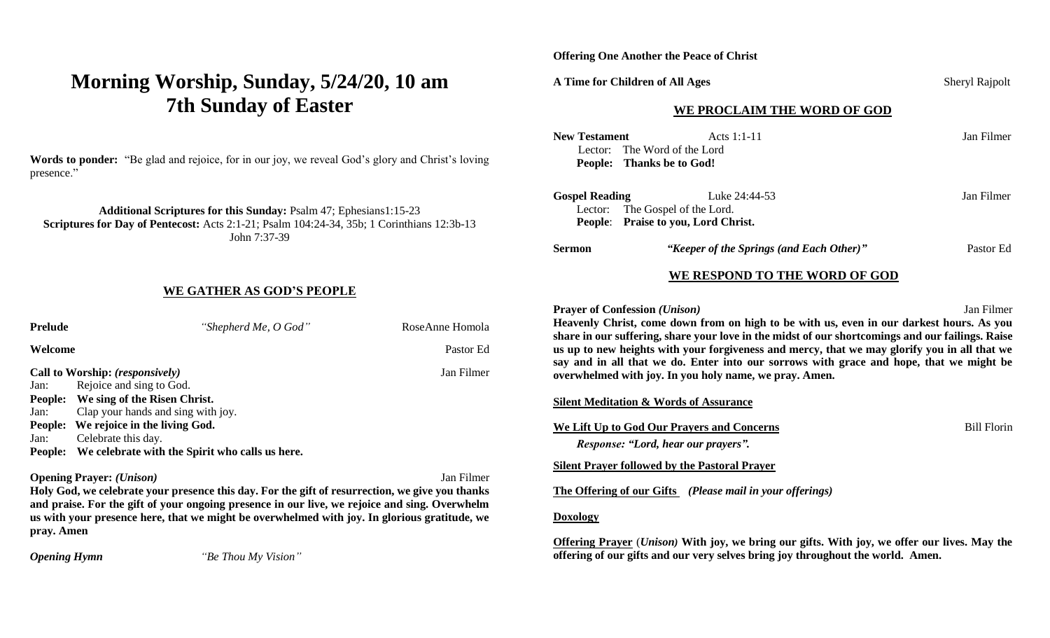# **Morning Worship, Sunday, 5/24/20, 10 am 7th Sunday of Easter**

**Words to ponder:** "Be glad and rejoice, for in our joy, we reveal God's glory and Christ's loving presence."

**Additional Scriptures for this Sunday:** Psalm 47; Ephesians1:15-23 **Scriptures for Day of Pentecost:** Acts 2:1-21; Psalm 104:24-34, 35b; 1 Corinthians 12:3b-13 John 7:37-39

#### **WE GATHER AS GOD'S PEOPLE**

| <b>Prelude</b>                         | "Shepherd Me, O God"                            | RoseAnne Homola |
|----------------------------------------|-------------------------------------------------|-----------------|
| Welcome                                |                                                 | Pastor Ed       |
| Call to Worship: (responsively)        |                                                 | Jan Filmer      |
| Jan:                                   | Rejoice and sing to God.                        |                 |
| <b>People:</b>                         | We sing of the Risen Christ.                    |                 |
| Jan:                                   | Clap your hands and sing with joy.              |                 |
| <b>People:</b>                         | We rejoice in the living God.                   |                 |
| Jan:                                   | Celebrate this day.                             |                 |
| People:                                | We celebrate with the Spirit who calls us here. |                 |
| <b>Opening Prayer:</b> <i>(Unison)</i> |                                                 | Jan Filmer      |

**Holy God, we celebrate your presence this day. For the gift of resurrection, we give you thanks and praise. For the gift of your ongoing presence in our live, we rejoice and sing. Overwhelm us with your presence here, that we might be overwhelmed with joy. In glorious gratitude, we pray. Amen**

*Opening Hymn "Be Thou My Vision"*

**Offering One Another the Peace of Christ**

### **A Time for Children of All Ages** Sheryl Rajpolt

#### **WE PROCLAIM THE WORD OF GOD**

| <b>New Testament</b>                                                                                                                                                                                                                                                                                                                                                                                                                                                                                                                                         | Acts 1:1-11<br>Lector: The Word of the Lord<br>People: Thanks be to God!                | Jan Filmer |  |  |
|--------------------------------------------------------------------------------------------------------------------------------------------------------------------------------------------------------------------------------------------------------------------------------------------------------------------------------------------------------------------------------------------------------------------------------------------------------------------------------------------------------------------------------------------------------------|-----------------------------------------------------------------------------------------|------------|--|--|
| <b>Gospel Reading</b>                                                                                                                                                                                                                                                                                                                                                                                                                                                                                                                                        | Luke 24:44-53<br>Lector: The Gospel of the Lord.<br>People: Praise to you, Lord Christ. | Jan Filmer |  |  |
| Sermon                                                                                                                                                                                                                                                                                                                                                                                                                                                                                                                                                       | "Keeper of the Springs (and Each Other)"                                                | Pastor Ed  |  |  |
|                                                                                                                                                                                                                                                                                                                                                                                                                                                                                                                                                              | WE RESPOND TO THE WORD OF GOD                                                           |            |  |  |
| Jan Filmer<br><b>Prayer of Confession (Unison)</b><br>Heavenly Christ, come down from on high to be with us, even in our darkest hours. As you<br>share in our suffering, share your love in the midst of our shortcomings and our failings. Raise<br>us up to new heights with your forgiveness and mercy, that we may glorify you in all that we<br>say and in all that we do. Enter into our sorrows with grace and hope, that we might be<br>overwhelmed with joy. In you holy name, we pray. Amen.<br><u>Silent Meditation &amp; Words of Assurance</u> |                                                                                         |            |  |  |
| We Lift Up to God Our Prayers and Concerns<br><b>Bill Florin</b><br>Response: "Lord, hear our prayers".                                                                                                                                                                                                                                                                                                                                                                                                                                                      |                                                                                         |            |  |  |
| <b>Silent Prayer followed by the Pastoral Prayer</b>                                                                                                                                                                                                                                                                                                                                                                                                                                                                                                         |                                                                                         |            |  |  |
| The Offering of our Gifts (Please mail in your offerings)                                                                                                                                                                                                                                                                                                                                                                                                                                                                                                    |                                                                                         |            |  |  |
| <b>Doxology</b>                                                                                                                                                                                                                                                                                                                                                                                                                                                                                                                                              |                                                                                         |            |  |  |
| Offering Prayer ( <i>Unison</i> ) With joy, we bring our gifts. With joy, we offer our lives. May the<br>offering of our gifts and our very selves bring joy throughout the world. Amen.                                                                                                                                                                                                                                                                                                                                                                     |                                                                                         |            |  |  |